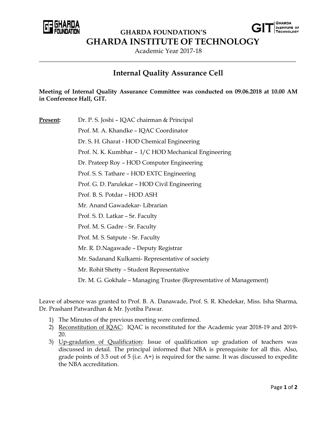



 **GHARDA FOUNDATION'S GHARDA INSTITUTE OF TECHNOLOGY**

Academic Year 2017-18 \_\_\_\_\_\_\_\_\_\_\_\_\_\_\_\_\_\_\_\_\_\_\_\_\_\_\_\_\_\_\_\_\_\_\_\_\_\_\_\_\_\_\_\_\_\_\_\_\_\_\_\_\_\_\_\_\_\_\_\_\_\_\_\_\_\_\_\_\_\_\_\_\_\_\_\_\_\_\_

## **Internal Quality Assurance Cell**

**Meeting of Internal Quality Assurance Committee was conducted on 09.06.2018 at 10.00 AM in Conference Hall, GIT.**

**Present:** Dr. P. S. Joshi – IQAC chairman & Principal

Prof. M. A. Khandke – IQAC Coordinator Dr. S. H. Gharat - HOD Chemical Engineering Prof. N. K. Kumbhar – I/C HOD Mechanical Engineering Dr. Prateep Roy – HOD Computer Engineering Prof. S. S. Tathare – HOD EXTC Engineering Prof. G. D. Parulekar – HOD Civil Engineering Prof. B. S. Potdar – HOD ASH Mr. Anand Gawadekar- Librarian Prof. S. D. Latkar – Sr. Faculty Prof. M. S. Gadre - Sr. Faculty Prof. M. S. Satpute - Sr. Faculty Mr. R. D.Nagawade – Deputy Registrar Mr. Sadanand Kulkarni- Representative of society Mr. Rohit Shetty – Student Representative Dr. M. G. Gokhale – Managing Trustee (Representative of Management)

Leave of absence was granted to Prof. B. A. Danawade, Prof. S. R. Khedekar, Miss. Isha Sharma, Dr. Prashant Patwardhan & Mr. Jyotiba Pawar.

- 1) The Minutes of the previous meeting were confirmed.
- 2) Reconstitution of IQAC: IQAC is reconstituted for the Academic year 2018-19 and 2019-20.
- 3) Up-gradation of Qualification: Issue of qualification up gradation of teachers was discussed in detail. The principal informed that NBA is prerequisite for all this. Also, grade points of 3.5 out of 5 (i.e. A+) is required for the same. It was discussed to expedite the NBA accreditation.